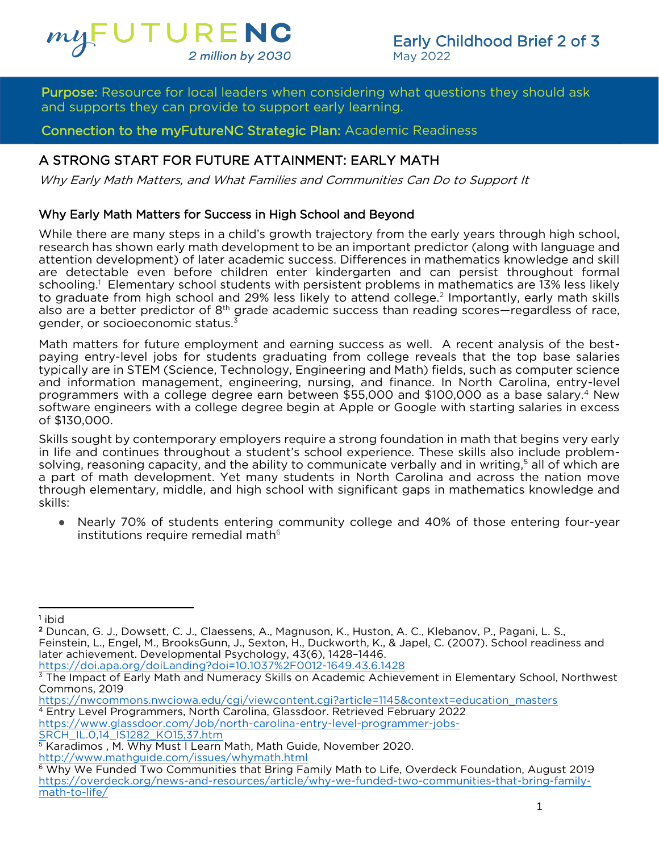

I dipose: Resource for local leaders when considering what questions they should dsk<br>and supports they can provide to support early learning. **Purpose:** Resource for local leaders when considering what questions they should ask

**Connection to the myFutureNC Strategic Plan: Academic Readiness** Connection to the myFutureNC Strategic Plan: Academic Readiness

# A STRONG START FOR FUTURE ATTAINMENT: EARLY MATH

 $\mathbf{A} \mathbf{A} \mathbf{A} \mathbf{A} \mathbf{A} \mathbf{A} \mathbf{A} \mathbf{A} \mathbf{A} \mathbf{A} \mathbf{A} \mathbf{A} \mathbf{A} \mathbf{A} \mathbf{A} \mathbf{A} \mathbf{A} \mathbf{A} \mathbf{A} \mathbf{A} \mathbf{A} \mathbf{A} \mathbf{A} \mathbf{A} \mathbf{A} \mathbf{A} \mathbf{A} \mathbf{A} \mathbf{A} \mathbf{A} \mathbf{A} \mathbf{A} \mathbf{A} \mathbf{A} \mathbf{A} \mathbf{A} \mathbf{$ Why Early Math Matters, and What Families and Communities Can Do to Support It

Why Early Math Matters for Success in High School and Beyond While there are many steps in a child's growth trajectory from the early years through high school, vesearch has shown early math development to be an important predictor (along with language and attention development) of later academic success. Differences in mathematics knowledge and skill are detectable even before children enter kindergarten and can persist throughout formal schooling.<sup>1</sup> Elementary school students with persistent problems in mathematics are 13% less likely schooling. The memary school students with persistent problems in mathematics are 13% less likely<br>to graduate from high school and 29% less likely to attend college.<sup>2</sup> Importantly, early math skills to graduate from high school and 29% less likely to attend college. Importantly, early math skills<br>also are a better predictor of 8<sup>th</sup> grade academic success than reading scores—regardless of race,<br>gender, or socioeconomi gender, or socioeconomic status.<sup>3</sup><br>Math matters for future employment and earning success as well. A recent analysis of the best-

paying entry-level jobs for students graduating from college reveals that the top base salaries typically are in STEM (Science, Technology, Engineering and Math) fields, such as computer science and information management, engineering, nursing, and finance. In North Carolina, entry-level programmers with a college degree earn between \$55,000 and \$100,000 as a base salary.<sup>4</sup> New software engineers with a college degree begin at Apple or Google with starting salaries in excess software engineers with a college degree begin at Apple or Google with starting salaries in excess of \$130,000.<br>Skills sought by contemporary employers require a strong foundation in math that begins very early

in life and continues throughout a student's school experience. These skills also include problemsolving, reasoning capacity, and the ability to communicate verbally and in writing,<sup>5</sup> all of which are a part of math development. Yet many students in North Carolina and across the nation move through elementary, middle, and high school with significant gaps in mathematics knowledge and through elementary, middle, and high school with significant gaps in mathematics knowledge and skills:

● Nearly 70% of students entering community college and 40% of those entering four-year institutions require remedial math $6$ 

<sup>1</sup> ibid

https://nwcommons.nwciowa.edu/cgi/viewcontent.cgi?article=1145&context=education\_masters

SRCH IL.0,14 IS1282 KO15,37.htm

 $2$  Dur Feinstein, L., Engel, M., BrooksGunn, J., Sexton, H., Duckworth, K., & Japel, C. (2007). School readiness and later achievement. Developmental Psychology, 43(6), 1428-1446. https://doi.apa.org/doil.anding?doi=10.1037%2E0012-1649.43.6.14

<sup>&</sup>lt;sup>3</sup> The Impact of Farly Math and Numeracy Skills on Academic Achiev <sup>3</sup> The Impact of Early Math and Numeracy Skills on Academic Achievement in Elementary School, Northwest<br>Commons. 2019

<sup>&</sup>lt;sup>4</sup> Entry Level Programmers, North Carolina, Glassdoor. Retrieved February 2022 https://www.glassdoor.com/Job/north-carolina-entry-level-programmer-jobs-

<sup>&</sup>lt;sup>5</sup> Karadimos, M. Why Must I Learn Math, Math Guide, November 2020. http://www.mathguide.com/issues/whymath.html

 $6$  Why We Funded Two Communities that Bring Family Math to Life, Overdeck Foundation, August 2019 https://overdeck.org/news-and-resources/article/why-we-funded-two-communities-that-bring-familymath-to-life/ math-to-life,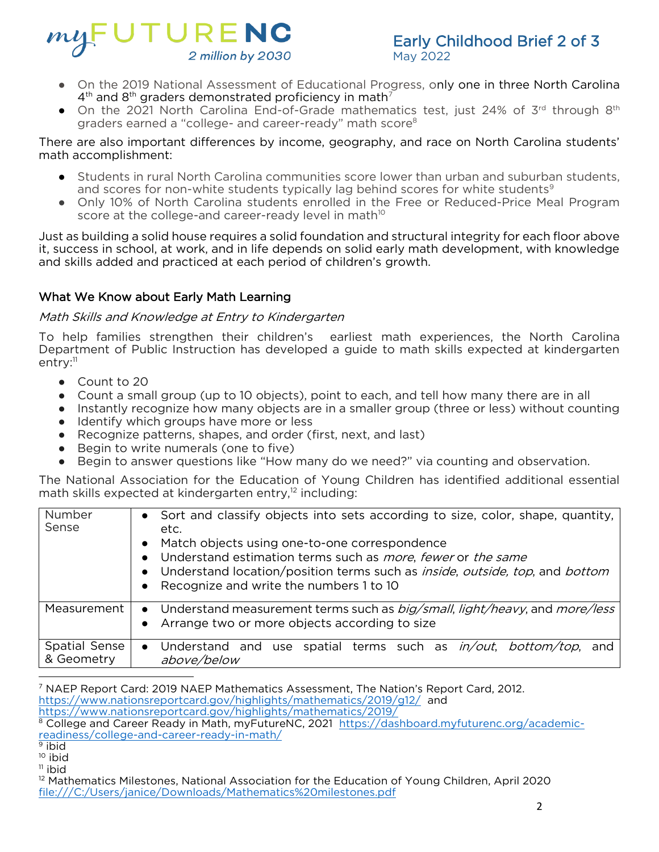

May 2022

- On the 2019 National Assessment of Educational Progress, only one in three North Carolina<br>4<sup>th</sup> and 8<sup>th</sup> graders demonstrated proficiency in math<sup>7</sup>
- → and 8th graders demonstrated pronciency in math<br>• On the 2021 North Carolina End-of-Grade mathematics test, just 24% of 3<sup>rd</sup> through 8<sup>th</sup><br>araders earned a "college- and career-ready" math score<sup>8</sup> graders earned a "college- and career-ready" math score<sup>8</sup><br>There are also important differences by income, geography, and race on North Carolina students'

math accomplishment: math accomplishment:

- Students in rural North Carolina communities score lower than urban and suburban students, and scores for non-white students typically lag behind scores for white students<sup>9</sup>
- and scores for non-white students typically lag behind scores for white students<br>• Only 10% of North Carolina students enrolled in the Free or Reduced-Price Meal Program<br>score at the college-and career-ready level in math<sup></sup>

score at the college-and career-ready level in math<sup>10</sup><br>Just as building a solid house requires a solid foundation and structural integrity for each floor above it, success in school, at work, and in life depends on solid early math development, with knowledge and skills added and practiced at each period of children's growth. and skills added and practiced at each period of children's growth.

### What We Know about Early Math Learning What We Know about Early Math Learning

## Math Skills and Knowledge at Entry to Kindergarten

To help families strengthen their children's earliest math enperiences, the North Carolina. Department of Public Instruction has developed a guide to math skills expected at kindergarten entry:<sup>11</sup>

- Count to 20
- Count a small group (up to 10 objects), point to each, and tell how many there are in all
- Instantly recognize how many objects are in a smaller group (three or less) without counting ● Identify which groups have more or less
- Recognize patterns, shapes, and order (first, next, and last)<br>● Begin to write numerals (one to five)
- Begin to write numerals (one to five)<br>● Begin to answer questions like "How
- Begin to answer questions like "How many do we need?" via counting and observation.

math skills expected at kindergarten entry,<sup>12</sup> including:<br>math skills expected at kindergarten entry,<sup>12</sup> including:

| Number<br>Sense             | • Sort and classify objects into sets according to size, color, shape, quantity,<br>etc.<br>Match objects using one-to-one correspondence<br>• Understand estimation terms such as <i>more</i> , fewer or the same<br>• Understand location/position terms such as <i>inside, outside, top</i> , and <i>bottom</i><br>Recognize and write the numbers 1 to 10<br>$\bullet$ |
|-----------------------------|----------------------------------------------------------------------------------------------------------------------------------------------------------------------------------------------------------------------------------------------------------------------------------------------------------------------------------------------------------------------------|
| Measurement                 | • Understand measurement terms such as <i>big/small, light/heavy</i> , and <i>more/less</i><br>Arrange two or more objects according to size<br>$\bullet$                                                                                                                                                                                                                  |
| Spatial Sense<br>& Geometry | • Understand and use spatial terms such as $in/out$ , bottom/top,<br>and<br>above/below                                                                                                                                                                                                                                                                                    |

<sup>&</sup>lt;sup>7</sup> [NAEP Report Card: 2019 NAEP](about:blank) Mathematics Assessment, The Nation's Report Card, 2012.<br>https://www.nationsreportcard.gov/highlights/mathematics/2019/g12/ and https://www.nationsreportcard.gov/highlights/mathematics/2019/

<sup>&</sup>lt;sup>8</sup> [College and Career Ready in Math, myFuture](about:blank)NC, 2021 https://dashboard.myfuturenc.org/academic-<br>readiness/college-and-career-ready-in-math/

 $\frac{9 \text{ ibid}}{2 \text{ biid}}$ 

<sup>&</sup>lt;sup>10</sup> ibid

 $11$  ibid

<sup>&</sup>lt;sup>12</sup> Mathematics Milestones, National Association for the Education of Young Children, April 2020 file:///C:/Users/janice/Downloads/Mathematics%20milestones.pdf file:///C://Users/janice/Downloads/Mathematics.com/2007/2008/2007/2009/2009/2009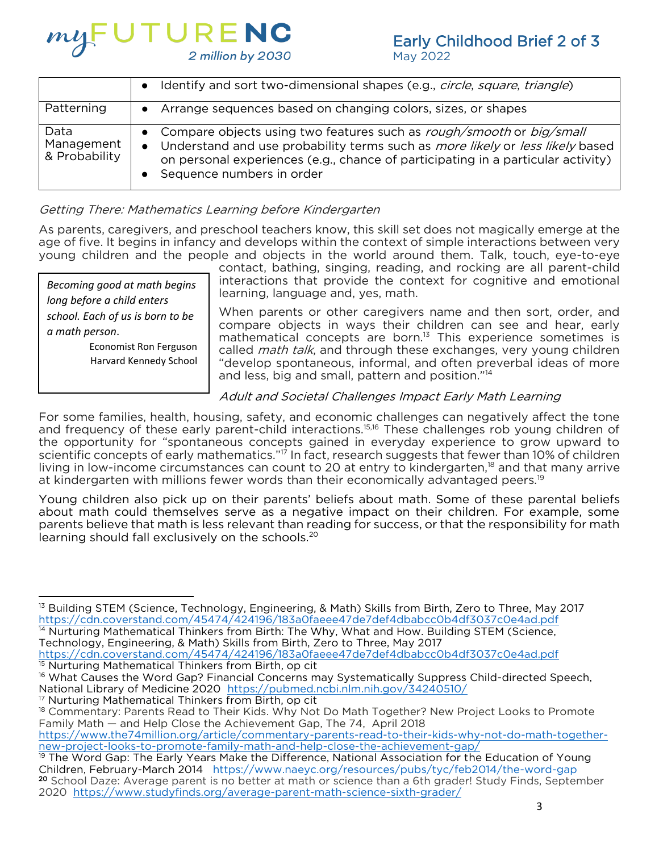

# Early Childhood Brief 2 of 3<br>May 2022

May 2022

|                                     | Identify and sort two-dimensional shapes (e.g., circle, square, triangle)<br>$\bullet$                                                                                                                                                                                                   |
|-------------------------------------|------------------------------------------------------------------------------------------------------------------------------------------------------------------------------------------------------------------------------------------------------------------------------------------|
| Patterning                          | Arrange sequences based on changing colors, sizes, or shapes<br>$\bullet$                                                                                                                                                                                                                |
| Data<br>Management<br>& Probability | • Compare objects using two features such as rough/smooth or big/small<br>• Understand and use probability terms such as <i>more likely</i> or <i>less likely</i> based<br>on personal experiences (e.g., chance of participating in a particular activity)<br>Sequence numbers in order |

# Getting There: Mathematics Learning before Kindergarten

As parents, caregivers, and preschool teachers know, this skill set does not magically emerge at the<br>age of five. It begins in infancy and develops within the context of simple interactions between very young children and the people and objects in the world around them. Talk, touch, eye-to-eye

*Becoming good at math begins long before a child enters school. Each of us is born to be a math person*.

> Economist Ron Ferguson Harvard Kennedy School

contact, bathing, singing, reading, and rocking are all parent-child interactions that provide the context for cognitive and emotional learning, language and, yes, math.

When parents or other caregivers name and then sort, order, and compare objects in ways their children can see and hear, early mathematical concepts are born.<sup>13</sup> This experience sometimes is called *math talk*, and through these exchanges, very young children "develop spontaneous, informal, and often preverbal ideas of more and less, big and small, pattern and position."<sup>14</sup>

# Adult and Societal Challenges Impact Early Math Learning

For some families, health, housing, safety, and economic challenges can negatively affect the tone<br>and frequency of these early parent-child interactions.<sup>15,16</sup> These challenges rob young children of the opportunity for "spontaneous concepts gained in everyday experience to grow upward to scientific concepts of early mathematics."<sup>17</sup> In fact, research suggests that fewer than 10% of children living in low-income circumstances can count to 20 at entry to kindergarten,<sup>18</sup> and that many arrive living in low-income circumstances can count to 20 at entry to kindergarten," and that many arrive<br>at kindergarten with millions fewer words than their economically advantaged peers.<sup>19</sup> at kindergarten with millions fewer words than their economically advantaged peers.19<br>19 November - China than the construction of the construction of the construction of the construction of the c

Young children also pick up on their parents' beliefs about math. Some of these parental beliefs<br>about math could themselves serve as a negative impact on their children. For example, some parents believe that math is less relevant than reading for success, or that the responsibility for math parents believe that math is very chosen that is also success. The reading for the responsibility for mathematical exclusively on the schools.<sup>20</sup>

<sup>13</sup> [Building STEM \(Science, Technology, Engineering, & Math\) Skills from Birth, Zero to Three, May 2](about:blank)017<br>https://cdn.coverstand.com/45474/424196/183a0faeee47de7def4dbabcc0b4df3037c0e4ad.pdf  $<sup>14</sup>$  Nurturing Mathematical Thinkers from Birth: The Why, What and How. Building STEM (Science,</sup> Technology, Engineering, & Math) Skills from Birth, Zero to Three, May 2017

https://cdn.coverstand.com/45474/424196/183a0faeee47de7def4dbabcc0b4df3037c0e4ad.pdf Nurturing Mathematical Thinkers from Birth, op cit

<sup>16</sup> What Causes the Word Gap? Financial Concerns may Systematically Suppress Child-directed Speech, National Library of Medicine 2020 https://pubmed.ncbi.nlm.nih.gov/34240510/ <sup>17</sup> Nurturing Mathematical Thinkers from Birth, op cit

<sup>18</sup> Commentary: Parents Read to Their Kids. Why Not Do Math Together? New Project Looks to Promote Family Math - and Help Close the Achievement Gap, The 74, April 2018

https://www.the74million.org/article/commentary-parents-read-to-their-kids-why-not-do-math-togetherhew-project-looks-to-promote-family-math-and-help-close-the-achievement-gap/

<sup>&</sup>lt;sup>19</sup> The Word Gap: The Early Years Make the Difference, National Association for the Education of Young Children, February-March 2014 https://www.naeyc.org/resources/pubs/tyc/feb2014/the-word-gap <sup>20</sup> School Daze: Average parent is no better at math or science than a 6th grader! Study Finds, September 2020 https://www.studyfinds.org/average-parent-math-science-sixth-grader/ 2020 https://www.studyfinds.org/average-parent-math-science-sixth-grader/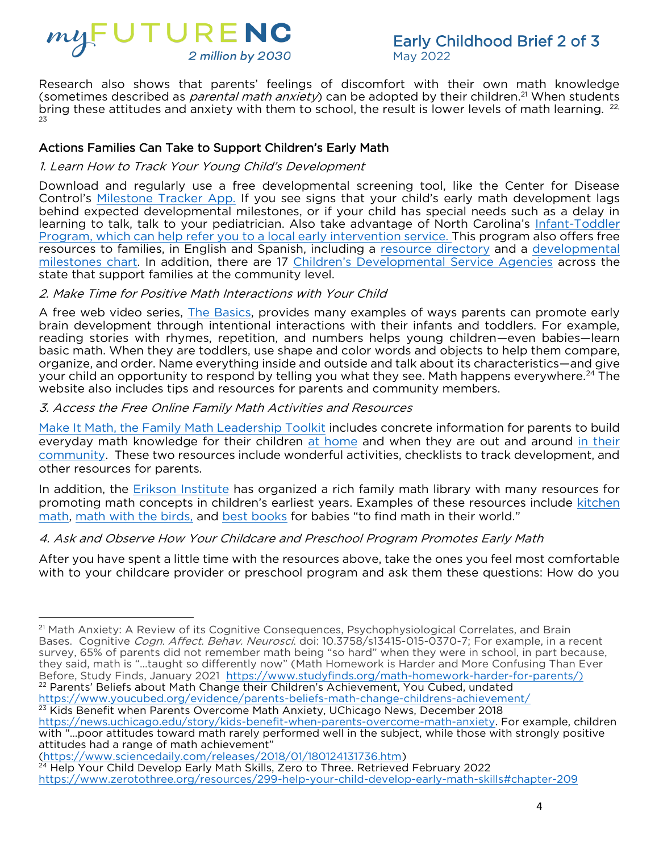

May 2022 Cometimes described as *parental math anxiety*) can be adopted by their children.<sup>21</sup> When students<br>bring these attitudes and anxiety with them to school, the result is lower levels of math learning.  $22$ bring these attitudes and anxiety with them to school, the result is lower levels of math learning.  $22$ ,

### $\frac{1}{\sqrt{2}}$  . The support  $\frac{1}{\sqrt{2}}$  of  $\frac{1}{\sqrt{2}}$  ,  $\frac{1}{\sqrt{2}}$  ,  $\frac{1}{\sqrt{2}}$  ,  $\frac{1}{\sqrt{2}}$  ,  $\frac{1}{\sqrt{2}}$  ,  $\frac{1}{\sqrt{2}}$  ,  $\frac{1}{\sqrt{2}}$  ,  $\frac{1}{\sqrt{2}}$  ,  $\frac{1}{\sqrt{2}}$  ,  $\frac{1}{\sqrt{2}}$  ,  $\frac{1}{\sqrt{2}}$  ,  $\frac{1}{\sqrt{2}}$  1. Learn How to Track Your Young Child's Development

Downloa[d and regularly use a fr](https://www.cdc.gov/ncbddd/actearly/milestones-app.html)ee developmental screening tool, like the Center for Disease<br>Control's Milestone Tracker App. If you see signs that your child's early math development lags behind expected developmental milestones, or if your child has special needs such as a delay in learning to talk, talk to your pediatrician. Also take advantage of North Carolina's Infant-Toddler Program, which can help refer you to a local early intervention service. This program also offers free resources to families, in English and Spanish, including a resource directory and a developmental milestones chart. In addition, there are 17 Children's Developmental Service Agencies across the state that support families at the community level.

# state that support families at the community level. 2. Make Time for Positive Math Interactions with Your Child

A free web video series, *The Basics*, provides many examples of ways parents can promote early brain development through intentional interactions with their infants and toddlers. For example, reading stories with rhymes, repetition, and numbers helps young children—even babies—learn basic math. When they are toddlers, use shape and color words and objects to help them compare. organize, and order. Name everything inside and outside and talk about its characteristics—and give your child an opportunity to respond by telling you what they see. Math happens everywhere.<sup>24</sup> The website also includes tips and resources for parents and community members.

website also includes tips and resources for parents and community members. 3. Access the Free Online Family Math Activities and Resources

[Make It Math, the Family Math Leadership Toolkit](https://nafsce.org/page/FM4Parents) [includ](https://cdn.ymaws.com/nafsce.org/resource/resmgr/family_math/parent_toolkit/make_it_math_-_at_home.pdf)es concrete information for parents [to build](https://cdn.ymaws.com/nafsce.org/resource/resmgr/family_math/parent_toolkit/make_it_math_-_community.pdf) everyday math knowledge for their children at home and when they are out and around in their community. These two resources include wonderful activities, checklists to track development, and other resources for parents.

In addition, the Erikson Institute has organized a rich family math library with many resources for promoting math concepts in children's earliest years. Examples of these resources include kitchen math, math with the birds, and best books for babies "to find math in their world." [math,](https://earlymath.erikson.edu/mathematical-structures-kitchen-math/) <u>math with the birds,</u> and <u>best books</u> for babies "to find math in their world."

# 4. Ask and Observe How Your Childcare and Preschool Program Promotes Early Math

After you have spent a little time with the resources above, take the ones you feel most comfortable<br>with to your childcare provider or preschool program and ask them these questions: How do you with to your childcare provider or preschool program and ask them these questions: How do you

(https://www.sciencedaily.com/releases/2018/01/180124131736.htm)

<sup>&</sup>lt;sup>21</sup> Math Anxiety: A Review of its Cognitive Consequences, Psychophysiological Correlates, and Brain<br>Bases. Cognitive *Cogn. Affect. Behav. Neurosci*. doi: 10.3758/s13415-015-0370-7; For example, in a recent survey, 65% of parents did not remember math being "so hard" when they were in school, in part because, they said, math is "...taught so differently now" (Math Homework is Harder and More Confusing Than Ever Before, Study Finds, January 2021 https://www.studyfinds.org/math-homework-harder-for-parents/) <sup>22</sup> Parents' Beliefs about Math Change their Children's Achievement, You Cubed, undated https://www.youcubed.org/evidence/parents-beliefs-math-change-childrens-achievement/ <sup>23</sup> Kids Benefit when Parents Overcome Math Anxiety, UChicago News, December 2018

https://news.uchicago.edu/story/kids-benefit-when-parents-overcome-math-anxiety. For example, children with "...poor attitudes toward math rarely performed well in the subject, while those with strongly positive attitudes had a range of math achievement"

<sup>&</sup>lt;sup>24</sup> Help Your Child Develop Early Math Skills, Zero to Three. Retrieved February 2022 <sup>24</sup> [Help Your Child Develop Early Math Skills, Zero to Three. Retrieved February 2022](https://www.zerotothree.org/resources/299-help-your-child-develop-early-math-skills#chapter-209)  https://www.zerotothree.org/resources/299-help-your-child-develop-early-math-skills#chapter-209